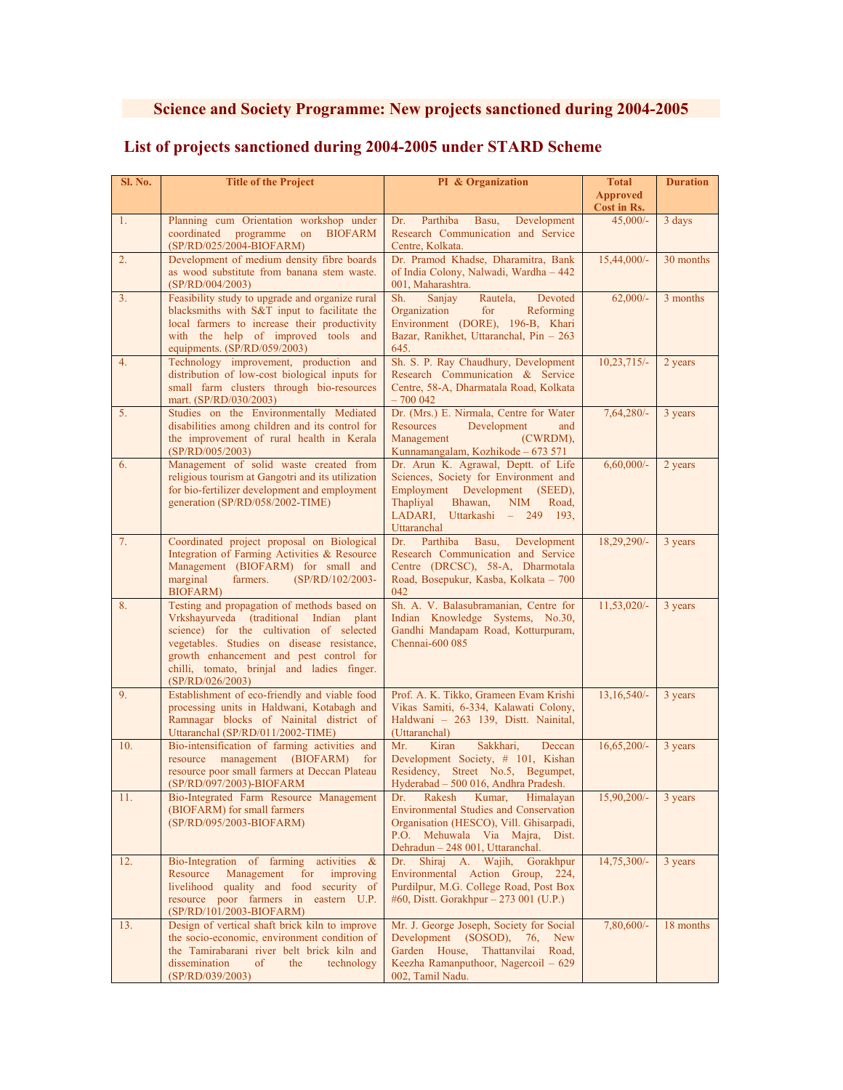## **Science and Society Programme: New projects sanctioned during 2004-2005**

## **List of projects sanctioned during 2004-2005 under STARD Scheme**

| Sl. No. | <b>Title of the Project</b>                                                                                                                                                                                                                                                                   | PI & Organization                                                                                                                                                                                         | <b>Total</b><br><b>Approved</b><br>Cost in Rs. | <b>Duration</b> |
|---------|-----------------------------------------------------------------------------------------------------------------------------------------------------------------------------------------------------------------------------------------------------------------------------------------------|-----------------------------------------------------------------------------------------------------------------------------------------------------------------------------------------------------------|------------------------------------------------|-----------------|
| 1.      | Planning cum Orientation workshop under<br>coordinated programme on<br><b>BIOFARM</b><br>(SP/RD/025/2004-BIOFARM)                                                                                                                                                                             | Parthiba<br>Dr.<br>Basu,<br>Development<br>Research Communication and Service<br>Centre, Kolkata.                                                                                                         | $45,000/-$                                     | 3 days          |
| 2.      | Development of medium density fibre boards<br>as wood substitute from banana stem waste.<br>(SP/RD/004/2003)                                                                                                                                                                                  | Dr. Pramod Khadse, Dharamitra, Bank<br>of India Colony, Nalwadi, Wardha - 442<br>001, Maharashtra.                                                                                                        | $15,44,000/-$                                  | 30 months       |
| 3.      | Feasibility study to upgrade and organize rural<br>blacksmiths with S&T input to facilitate the<br>local farmers to increase their productivity<br>with the help of improved tools and<br>equipments. $(SP/RD/059/2003)$                                                                      | Sh.<br>Sanjay<br>Rautela,<br>Devoted<br>Reforming<br>Organization<br>for<br>Environment (DORE), 196-B, Khari<br>Bazar, Ranikhet, Uttaranchal, Pin - 263<br>645.                                           | $62,000/-$                                     | 3 months        |
| 4.      | Technology improvement, production and<br>distribution of low-cost biological inputs for<br>small farm clusters through bio-resources<br>mart. (SP/RD/030/2003)                                                                                                                               | Sh. S. P. Ray Chaudhury, Development<br>Research Communication & Service<br>Centre, 58-A, Dharmatala Road, Kolkata<br>$-700042$                                                                           | $10,23,715/-$                                  | 2 years         |
| 5.      | Studies on the Environmentally Mediated<br>disabilities among children and its control for<br>the improvement of rural health in Kerala<br>(SP/RD/005/2003)                                                                                                                                   | Dr. (Mrs.) E. Nirmala, Centre for Water<br>Resources<br>Development<br>and<br>Management<br>(CWRDM),<br>Kunnamangalam, Kozhikode - 673 571                                                                | $7,64,280/-$                                   | 3 years         |
| 6.      | Management of solid waste created from<br>religious tourism at Gangotri and its utilization<br>for bio-fertilizer development and employment<br>generation (SP/RD/058/2002-TIME)                                                                                                              | Dr. Arun K. Agrawal, Deptt. of Life<br>Sciences, Society for Environment and<br>Employment Development (SEED),<br>Thapliyal<br>Bhawan,<br>NIM<br>Road,<br>LADARI,<br>Uttarkashi - 249 193,<br>Uttaranchal | $6,60,000/$ -                                  | 2 years         |
| 7.      | Coordinated project proposal on Biological<br>Integration of Farming Activities & Resource<br>Management (BIOFARM) for small and<br>(SP/RD/102/2003-<br>marginal<br>farmers.<br>BIOFARM)                                                                                                      | Parthiba<br>Basu,<br>Development<br>Dr.<br>Research Communication and Service<br>Centre (DRCSC), 58-A, Dharmotala<br>Road, Bosepukur, Kasba, Kolkata - 700<br>042                                         | 18,29,290/-                                    | 3 years         |
| 8.      | Testing and propagation of methods based on<br>Vrkshayurveda (traditional Indian plant<br>science) for the cultivation of selected<br>vegetables. Studies on disease resistance,<br>growth enhancement and pest control for<br>chilli, tomato, brinjal and ladies finger.<br>(SP/RD/026/2003) | Sh. A. V. Balasubramanian, Centre for<br>Indian Knowledge Systems, No.30,<br>Gandhi Mandapam Road, Kotturpuram,<br>Chennai-600 085                                                                        | $11,53,020/-$                                  | 3 years         |
| 9.      | Establishment of eco-friendly and viable food<br>processing units in Haldwani, Kotabagh and<br>Ramnagar blocks of Nainital district of<br>Uttaranchal (SP/RD/011/2002-TIME)                                                                                                                   | Prof. A. K. Tikko, Grameen Evam Krishi<br>Vikas Samiti, 6-334, Kalawati Colony,<br>Haldwani - 263 139, Distt. Nainital,<br>(Uttaranchal)                                                                  | $13,16,540/-$                                  | 3 years         |
| 10.     | Bio-intensification of farming activities and<br>resource management (BIOFARM)<br>for<br>resource poor small farmers at Deccan Plateau<br>(SP/RD/097/2003)-BIOFARM                                                                                                                            | Mr.<br>Kiran<br>Sakkhari,<br>Deccan<br>Development Society, # 101, Kishan<br>Residency, Street No.5, Begumpet,<br>Hyderabad - 500 016, Andhra Pradesh.                                                    | $16,65,200/-$                                  | 3 years         |
| 11.     | Bio-Integrated Farm Resource Management<br>(BIOFARM) for small farmers<br>(SP/RD/095/2003-BIOFARM)                                                                                                                                                                                            | Rakesh<br>Kumar, Himalayan<br>Dr.<br><b>Environmental Studies and Conservation</b><br>Organisation (HESCO), Vill. Ghisarpadi,<br>P.O. Mehuwala Via Majra, Dist.<br>Dehradun - 248 001, Uttaranchal.       | $15,90,200/-$                                  | 3 years         |
| 12.     | Bio-Integration of farming activities<br>$\alpha$<br>Resource<br>Management<br>for<br>improving<br>livelihood quality and food security of<br>resource poor farmers in eastern U.P.<br>(SP/RD/101/2003-BIOFARM)                                                                               | Shiraj A. Wajih,<br>Gorakhpur<br>Dr.<br>Environmental Action Group, 224,<br>Purdilpur, M.G. College Road, Post Box<br>#60, Distt. Gorakhpur $-273001$ (U.P.)                                              | 14,75,300/-                                    | 3 years         |
| 13.     | Design of vertical shaft brick kiln to improve<br>the socio-economic, environment condition of<br>the Tamirabarani river belt brick kiln and<br>dissemination<br>of<br>the<br>technology<br>(SP/RD/039/2003)                                                                                  | Mr. J. George Joseph, Society for Social<br>Development (SOSOD), 76,<br>New<br>Garden House,<br>Thattanvilai<br>Road,<br>Keezha Ramanputhoor, Nagercoil - 629<br>002, Tamil Nadu.                         | $7,80,600/$ -                                  | 18 months       |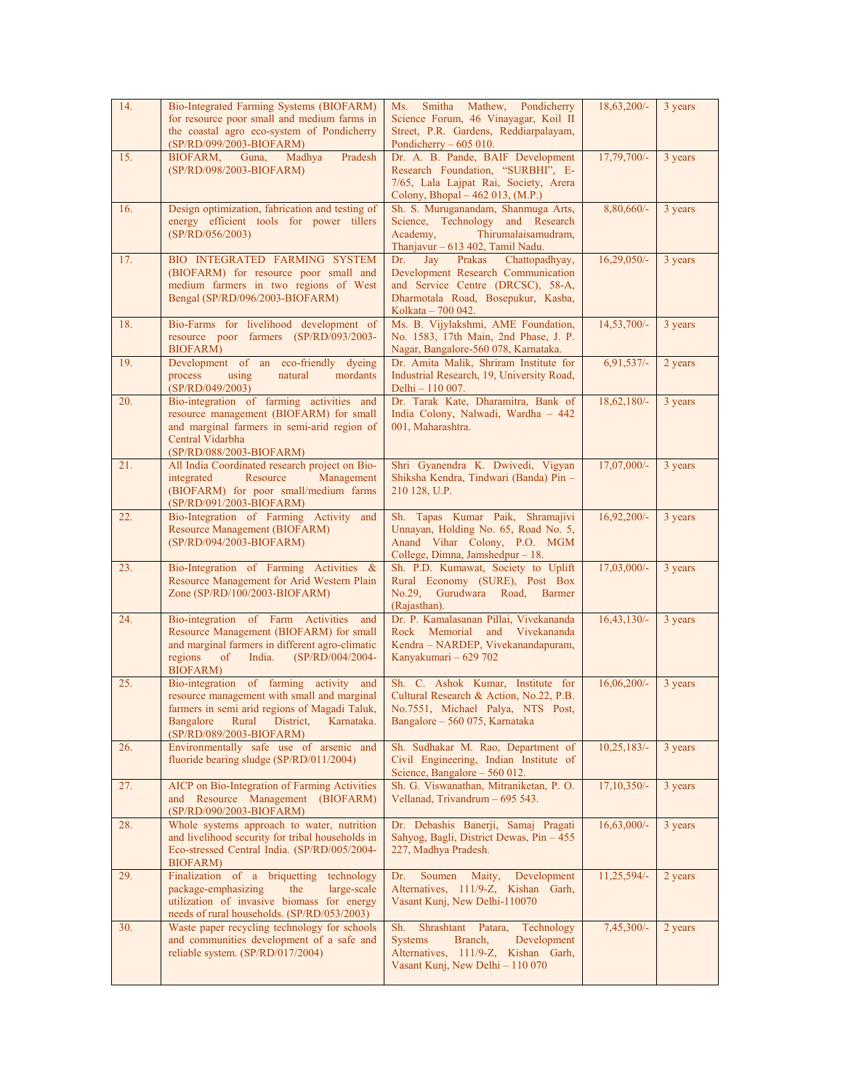| 14. | Bio-Integrated Farming Systems (BIOFARM)<br>for resource poor small and medium farms in<br>the coastal agro eco-system of Pondicherry<br>(SP/RD/099/2003-BIOFARM)                                                    | Smitha Mathew, Pondicherry<br>Ms.<br>Science Forum, 46 Vinayagar, Koil II<br>Street, P.R. Gardens, Reddiarpalayam,<br>Pondicherry $-605010$ .                                 | 18,63,200/-   | 3 years |
|-----|----------------------------------------------------------------------------------------------------------------------------------------------------------------------------------------------------------------------|-------------------------------------------------------------------------------------------------------------------------------------------------------------------------------|---------------|---------|
| 15. | BIOFARM, Guna,<br>Madhya<br>Pradesh<br>(SP/RD/098/2003-BIOFARM)                                                                                                                                                      | Dr. A. B. Pande, BAIF Development<br>Research Foundation, "SURBHI", E-<br>7/65, Lala Lajpat Rai, Society, Arera<br>Colony, Bhopal – 462 013, (M.P.)                           | 17,79,700/-   | 3 years |
| 16. | Design optimization, fabrication and testing of<br>energy efficient tools for power tillers<br>(SP/RD/056/2003)                                                                                                      | Sh. S. Muruganandam, Shanmuga Arts,<br>Science, Technology and Research<br>Thirumalaisamudram,<br>Academy,<br>Thanjavur - 613 402, Tamil Nadu.                                | 8,80,660/-    | 3 years |
| 17. | BIO INTEGRATED FARMING SYSTEM<br>(BIOFARM) for resource poor small and<br>medium farmers in two regions of West<br>Bengal (SP/RD/096/2003-BIOFARM)                                                                   | Chattopadhyay,<br>Dr.<br>Jay<br>Prakas<br>Development Research Communication<br>and Service Centre (DRCSC), 58-A,<br>Dharmotala Road, Bosepukur, Kasba,<br>Kolkata – 700 042. | $16,29,050/-$ | 3 years |
| 18. | Bio-Farms for livelihood development of<br>resource poor farmers (SP/RD/093/2003-<br><b>BIOFARM</b> )                                                                                                                | Ms. B. Vijylakshmi, AME Foundation,<br>No. 1583, 17th Main, 2nd Phase, J. P.<br>Nagar, Bangalore-560 078, Karnataka.                                                          | 14,53,700/-   | 3 years |
| 19. | Development of an eco-friendly dyeing<br>using<br>natural<br>process<br>mordants<br>(SP/RD/049/2003)                                                                                                                 | Dr. Amita Malik, Shriram Institute for<br>Industrial Research, 19, University Road,<br>Delhi - 110 007.                                                                       | $6,91,537/-$  | 2 years |
| 20. | Bio-integration of farming activities and<br>resource management (BIOFARM) for small<br>and marginal farmers in semi-arid region of<br>Central Vidarbha<br>(SP/RD/088/2003-BIOFARM)                                  | Dr. Tarak Kate, Dharamitra, Bank of<br>India Colony, Nalwadi, Wardha - 442<br>001, Maharashtra.                                                                               | $18,62,180/-$ | 3 years |
| 21. | All India Coordinated research project on Bio-<br>Resource<br>integrated<br>Management<br>(BIOFARM) for poor small/medium farms<br>(SP/RD/091/2003-BIOFARM)                                                          | Shri Gyanendra K. Dwivedi, Vigyan<br>Shiksha Kendra, Tindwari (Banda) Pin -<br>210 128, U.P.                                                                                  | 17,07,000/-   | 3 years |
| 22. | Bio-Integration of Farming Activity<br>and<br>Resource Management (BIOFARM)<br>(SP/RD/094/2003-BIOFARM)                                                                                                              | Sh. Tapas Kumar Paik, Shramajivi<br>Unnayan, Holding No. 65, Road No. 5,<br>Anand Vihar Colony, P.O. MGM<br>College, Dimna, Jamshedpur - 18.                                  | $16,92,200/-$ | 3 years |
| 23. | Bio-Integration of Farming Activities &<br>Resource Management for Arid Western Plain<br>Zone (SP/RD/100/2003-BIOFARM)                                                                                               | Sh. P.D. Kumawat, Society to Uplift<br>Rural Economy (SURE), Post Box<br>No.29, Gurudwara Road, Barmer<br>(Rajasthan).                                                        | $17,03,000/-$ | 3 years |
| 24. | Bio-integration of Farm Activities and<br>Resource Management (BIOFARM) for small<br>and marginal farmers in different agro-climatic<br>regions<br>of<br>India.<br>(SP/RD/004/2004-<br><b>BIOFARM</b> )              | Dr. P. Kamalasanan Pillai, Vivekananda<br>Rock Memorial and Vivekananda<br>Kendra - NARDEP, Vivekanandapuram,<br>Kanyakumari - 629 702                                        | $16,43,130/-$ | 3 years |
| 25. | Bio-integration of farming activity and<br>resource management with small and marginal<br>farmers in semi arid regions of Magadi Taluk,<br>Bangalore<br>Rural<br>District,<br>Karnataka.<br>(SP/RD/089/2003-BIOFARM) | Sh. C. Ashok Kumar, Institute for<br>Cultural Research & Action, No.22, P.B.<br>No.7551, Michael Palya, NTS Post,<br>Bangalore - 560 075, Karnataka                           | $16,06,200/-$ | 3 years |
| 26. | Environmentally safe use of arsenic and<br>fluoride bearing sludge (SP/RD/011/2004)                                                                                                                                  | Sh. Sudhakar M. Rao, Department of<br>Civil Engineering, Indian Institute of<br>Science, Bangalore - 560 012.                                                                 | $10,25,183/-$ | 3 years |
| 27. | AICP on Bio-Integration of Farming Activities<br>and Resource Management (BIOFARM)<br>(SP/RD/090/2003-BIOFARM)                                                                                                       | Sh. G. Viswanathan, Mitraniketan, P. O.<br>Vellanad, Trivandrum - 695 543.                                                                                                    | 17,10,350/-   | 3 years |
| 28. | Whole systems approach to water, nutrition<br>and livelihood security for tribal households in<br>Eco-stressed Central India. (SP/RD/005/2004-<br>BIOFARM)                                                           | Dr. Debashis Banerji, Samaj Pragati<br>Sahyog, Bagli, District Dewas, Pin - 455<br>227, Madhya Pradesh.                                                                       | $16,63,000/-$ | 3 years |
| 29. | Finalization of a briquetting<br>technology<br>package-emphasizing<br>the<br>large-scale<br>utilization of invasive biomass for energy<br>needs of rural households. (SP/RD/053/2003)                                | Maity,<br>Development<br>Dr.<br>Soumen<br>Alternatives, 111/9-Z, Kishan Garh,<br>Vasant Kunj, New Delhi-110070                                                                | 11,25,594/-   | 2 years |
| 30. | Waste paper recycling technology for schools<br>and communities development of a safe and<br>reliable system. (SP/RD/017/2004)                                                                                       | Shrashtant Patara,<br>Technology<br>Sh.<br><b>Systems</b><br>Branch,<br>Development<br>Alternatives, 111/9-Z, Kishan Garh,<br>Vasant Kunj, New Delhi - 110 070                | 7,45,300/-    | 2 years |